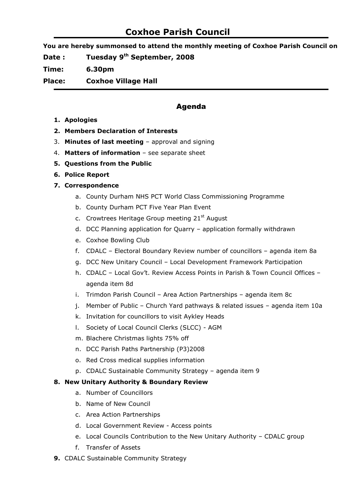# Coxhoe Parish Council

You are hereby summonsed to attend the monthly meeting of Coxhoe Parish Council on

Date : Tuesday 9<sup>th</sup> September, 2008

Time: 6.30pm

Place: Coxhoe Village Hall

# Agenda

- 1. Apologies
- 2. Members Declaration of Interests
- 3. Minutes of last meeting approval and signing
- 4. Matters of information see separate sheet
- 5. Questions from the Public
- 6. Police Report

## 7. Correspondence

- a. County Durham NHS PCT World Class Commissioning Programme
- b. County Durham PCT Five Year Plan Event
- c. Crowtrees Heritage Group meeting  $21<sup>st</sup>$  August
- d. DCC Planning application for Quarry application formally withdrawn
- e. Coxhoe Bowling Club
- f. CDALC Electoral Boundary Review number of councillors agenda item 8a
- g. DCC New Unitary Council Local Development Framework Participation
- h. CDALC Local Gov't. Review Access Points in Parish & Town Council Offices agenda item 8d
- i. Trimdon Parish Council Area Action Partnerships agenda item 8c
- j. Member of Public Church Yard pathways & related issues agenda item 10a
- k. Invitation for councillors to visit Aykley Heads
- l. Society of Local Council Clerks (SLCC) AGM
- m. Blachere Christmas lights 75% off
- n. DCC Parish Paths Partnership (P3)2008
- o. Red Cross medical supplies information
- p. CDALC Sustainable Community Strategy agenda item 9

#### 8. New Unitary Authority & Boundary Review

- a. Number of Councillors
- b. Name of New Council
- c. Area Action Partnerships
- d. Local Government Review Access points
- e. Local Councils Contribution to the New Unitary Authority CDALC group
- f. Transfer of Assets
- 9. CDALC Sustainable Community Strategy